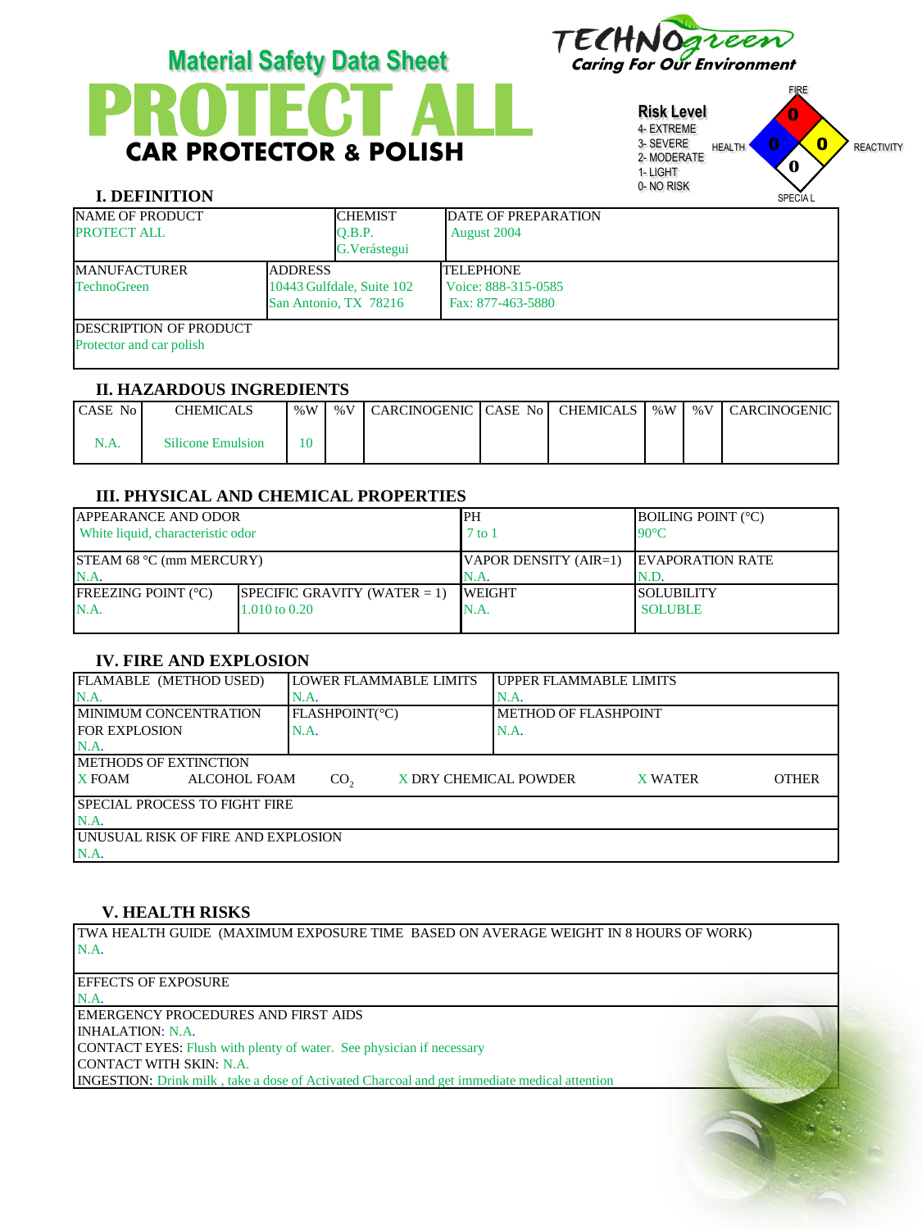

CAR PROTECTOR & POLISH



**Risk Level**

# **I. DEFINITION**

|                   | <b>Risk Level</b><br>4- EXTREME<br>3- SEVERE<br>2- MODERATE<br>1-LIGHT<br>0-NO RISK | <b>HEALTH</b> | U<br>O<br>U<br>0<br><b>SPECIAL</b> | <b>REACTIVITY</b> |
|-------------------|-------------------------------------------------------------------------------------|---------------|------------------------------------|-------------------|
| <b>REPARATION</b> |                                                                                     |               |                                    |                   |

FIRE

| <b>NAME OF PRODUCT</b><br><b>PROTECT ALL</b>                |  | <b>CHEMIST</b><br>O.B.P.<br>G. Verástegui          | <b>DATE OF PREPARATION</b><br>August 2004                    |  |  |
|-------------------------------------------------------------|--|----------------------------------------------------|--------------------------------------------------------------|--|--|
| <b>ADDRESS</b><br><b>MANUFACTURER</b><br><b>TechnoGreen</b> |  | 10443 Gulfdale, Suite 102<br>San Antonio, TX 78216 | <b>TELEPHONE</b><br>Voice: 888-315-0585<br>Fax: 877-463-5880 |  |  |
| <b>IDESCRIPTION OF PRODUCT</b><br>Protector and car polish  |  |                                                    |                                                              |  |  |

#### **II. HAZARDOUS INGREDIENTS**

| <b>CASE Not</b> | CHEMICALS                | %W | $\%$ V | CARCINOGENIC CASE No CHEMICALS |  | %W | % $V1$ | l CARCINOGENIC |
|-----------------|--------------------------|----|--------|--------------------------------|--|----|--------|----------------|
| <b>N.A.</b>     | <b>Silicone Emulsion</b> |    |        |                                |  |    |        |                |

# **III. PHYSICAL AND CHEMICAL PROPERTIES**

| <b>APPEARANCE AND ODOR</b>        |                                 | <b>IPH</b>            | <b>BOILING POINT (°C)</b> |  |
|-----------------------------------|---------------------------------|-----------------------|---------------------------|--|
| White liquid, characteristic odor |                                 | $'$ to 1              | $90^{\circ}$ C            |  |
|                                   |                                 |                       |                           |  |
| STEAM 68 $°C$ (mm MERCURY)        |                                 | VAPOR DENSITY (AIR=1) | <b>IEVAPORATION RATE</b>  |  |
| N.A.                              |                                 | IN.A.                 | IN.D.                     |  |
| <b>FREEZING POINT (°C)</b>        | SPECIFIC GRAVITY (WATER $= 1$ ) | <b>IWEIGHT</b>        | <b>ISOLUBILITY</b>        |  |
| N.A.<br>1.010 to 0.20             |                                 | N.A.                  | <b>SOLUBLE</b>            |  |
|                                   |                                 |                       |                           |  |

# **IV. FIRE AND EXPLOSION**

| FLAMABLE (METHOD USED)                     | LOWER FLAMMABLE LIMITS                   | UPPER FLAMMABLE LIMITS         |  |  |  |  |
|--------------------------------------------|------------------------------------------|--------------------------------|--|--|--|--|
| N.A.                                       | N.A.                                     | N.A.                           |  |  |  |  |
| <b>IMINIMUM CONCENTRATION</b>              | FLASHPOINT(°C)                           | <b>METHOD OF FLASHPOINT</b>    |  |  |  |  |
| <b>FOR EXPLOSION</b>                       | N.A.                                     | N.A.                           |  |  |  |  |
| $NA$ .                                     |                                          |                                |  |  |  |  |
| <b>IMETHODS OF EXTINCTION</b>              |                                          |                                |  |  |  |  |
| <b>X</b> FOAM<br><b>ALCOHOL FOAM</b>       | X DRY CHEMICAL POWDER<br>CO <sub>2</sub> | <b>OTHER</b><br><b>X WATER</b> |  |  |  |  |
| <b>SPECIAL PROCESS TO FIGHT FIRE</b>       |                                          |                                |  |  |  |  |
| $NA$ .                                     |                                          |                                |  |  |  |  |
| <b>JUNUSUAL RISK OF FIRE AND EXPLOSION</b> |                                          |                                |  |  |  |  |
| N.A.                                       |                                          |                                |  |  |  |  |

# **V. HEALTH RISKS**

TWA HEALTH GUIDE (MAXIMUM EXPOSURE TIME BASED ON AVERAGE WEIGHT IN 8 HOURS OF WORK) N.A.

| <b>EFFECTS OF EXPOSURE</b>                                                                          |  |
|-----------------------------------------------------------------------------------------------------|--|
| N.A.                                                                                                |  |
| <b>EMERGENCY PROCEDURES AND FIRST AIDS</b>                                                          |  |
| INHALATION: N.A.                                                                                    |  |
| <b>CONTACT EYES:</b> Flush with plenty of water. See physician if necessary                         |  |
| CONTACT WITH SKIN: N.A.                                                                             |  |
| <b>INGESTION:</b> Drink milk, take a dose of Activated Charcoal and get immediate medical attention |  |